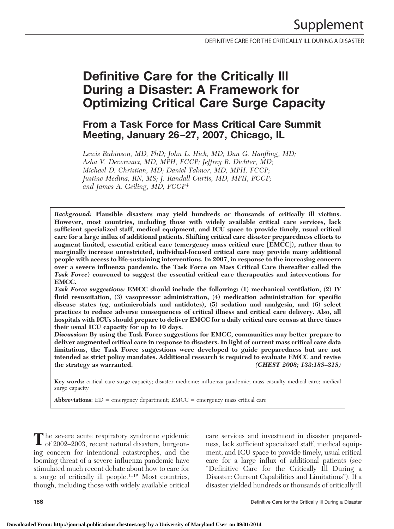DEFINITIVE CARE FOR THE CRITICALLY ILL DURING A DISASTER

# **Definitive Care for the Critically Ill During a Disaster: A Framework for Optimizing Critical Care Surge Capacity**

## **From a Task Force for Mass Critical Care Summit Meeting, January 26 –27, 2007, Chicago, IL**

*Lewis Rubinson, MD, PhD; John L. Hick, MD; Dan G. Hanfling, MD; Asha V. Devereaux, MD, MPH, FCCP; Jeffrey R. Dichter, MD; Michael D. Christian, MD; Daniel Talmor, MD, MPH, FCCP; Justine Medina, RN, MS; J. Randall Curtis, MD, MPH, FCCP; and James A. Geiling, MD, FCCP†*

*Background:* **Plausible disasters may yield hundreds or thousands of critically ill victims. However, most countries, including those with widely available critical care services, lack sufficient specialized staff, medical equipment, and ICU space to provide timely, usual critical care for a large influx of additional patients. Shifting critical care disaster preparedness efforts to augment limited, essential critical care (emergency mass critical care [EMCC]), rather than to marginally increase unrestricted, individual-focused critical care may provide many additional people with access to life-sustaining interventions. In 2007, in response to the increasing concern over a severe influenza pandemic, the Task Force on Mass Critical Care (hereafter called the** *Task Force***) convened to suggest the essential critical care therapeutics and interventions for EMCC.**

*Task Force suggestions:* **EMCC should include the following: (1) mechanical ventilation, (2) IV fluid resuscitation, (3) vasopressor administration, (4) medication administration for specific disease states (***eg***, antimicrobials and antidotes), (5) sedation and analgesia, and (6) select practices to reduce adverse consequences of critical illness and critical care delivery. Also, all hospitals with ICUs should prepare to deliver EMCC for a daily critical care census at three times their usual ICU capacity for up to 10 days.**

*Discussion:* **By using the Task Force suggestions for EMCC, communities may better prepare to deliver augmented critical care in response to disasters. In light of current mass critical care data limitations, the Task Force suggestions were developed to guide preparedness but are not intended as strict policy mandates. Additional research is required to evaluate EMCC and revise the strategy as warranted.** *(CHEST 2008; 133:18S–31S)*

**Key words:** critical care surge capacity; disaster medicine; influenza pandemic; mass casualty medical care; medical surge capacity

**Abbreviations:** ED = emergency department; EMCC = emergency mass critical care

The severe acute respiratory syndrome epidemic<br>of 2002–2003, recent natural disasters, burgeoning concern for intentional catastrophes, and the looming threat of a severe influenza pandemic have stimulated much recent debate about how to care for a surge of critically ill people.1–12 Most countries, though, including those with widely available critical care services and investment in disaster preparedness, lack sufficient specialized staff, medical equipment, and ICU space to provide timely, usual critical care for a large influx of additional patients (see "Definitive Care for the Critically Ill During a Disaster: Current Capabilities and Limitations"). If a disaster yielded hundreds or thousands of critically ill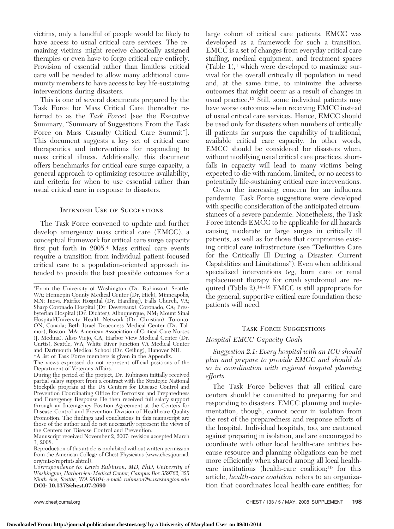victims, only a handful of people would be likely to have access to usual critical care services. The remaining victims might receive chaotically assigned therapies or even have to forgo critical care entirely. Provision of essential rather than limitless critical care will be needed to allow many additional community members to have access to key life-sustaining interventions during disasters.

This is one of several documents prepared by the Task Force for Mass Critical Care (hereafter referred to as the *Task Force*) [see the Executive Summary, "Summary of Suggestions From the Task Force on Mass Casualty Critical Care Summit"]. This document suggests a key set of critical care therapeutics and interventions for responding to mass critical illness. Additionally, this document offers benchmarks for critical care surge capacity, a general approach to optimizing resource availability, and criteria for when to use essential rather than usual critical care in response to disasters.

## Intended Use of Suggestions

The Task Force convened to update and further develop emergency mass critical care (EMCC), a conceptual framework for critical care surge capacity first put forth in 2005.4 Mass critical care events require a transition from individual patient-focused critical care to a population-oriented approach intended to provide the best possible outcomes for a

Manuscript received November 2, 2007; revision accepted March 3, 2008.

Reproduction of this article is prohibited without written permission from the American College of Chest Physicians (www.chestjournal. org/misc/reprints.shtml).

*Correspondence to: Lewis Rubinson, MD, PhD, University of Washington, Harborview Medical Center, Campus Box 359762, 325 Ninth Ave, Seattle, WA 98104; e-mail: rubinson@u.washington.edu* **DOI: 10.1378/chest.07-2690**

large cohort of critical care patients. EMCC was developed as a framework for such a transition. EMCC is a set of changes from everyday critical care staffing, medical equipment, and treatment spaces (Table  $1$ ),<sup>4</sup> which were developed to maximize survival for the overall critically ill population in need and, at the same time, to minimize the adverse outcomes that might occur as a result of changes in usual practice.13 Still, some individual patients may have worse outcomes when receiving EMCC instead of usual critical care services. Hence, EMCC should be used only for disasters when numbers of critically ill patients far surpass the capability of traditional, available critical care capacity. In other words, EMCC should be considered for disasters when, without modifying usual critical care practices, shortfalls in capacity will lead to many victims being expected to die with random, limited, or no access to potentially life-sustaining critical care interventions.

Given the increasing concern for an influenza pandemic, Task Force suggestions were developed with specific consideration of the anticipated circumstances of a severe pandemic. Nonetheless, the Task Force intends EMCC to be applicable for all hazards causing moderate or large surges in critically ill patients, as well as for those that compromise existing critical care infrastructure (see "Definitive Care for the Critically Ill During a Disaster: Current Capabilities and Limitations"). Even when additional specialized interventions (*eg*, burn care or renal replacement therapy for crush syndrome) are required (Table 2),  $14-18$  EMCC is still appropriate for the general, supportive critical care foundation these patients will need.

#### Task Force Suggestions

### *Hospital EMCC Capacity Goals*

*Suggestion 2.1: Every hospital with an ICU should plan and prepare to provide EMCC and should do so in coordination with regional hospital planning efforts.*

The Task Force believes that all critical care centers should be committed to preparing for and responding to disasters. EMCC planning and implementation, though, cannot occur in isolation from the rest of the preparedness and response efforts of the hospital. Individual hospitals, too, are cautioned against preparing in isolation, and are encouraged to coordinate with other local health-care entities because resource and planning obligations can be met more efficiently when shared among all local healthcare institutions (health-care coalition;<sup>19</sup> for this article, *health-care coalition* refers to an organization that coordinates local health-care entities; for

<sup>\*</sup>From the University of Washington (Dr. Rubinson), Seattle, WA; Hennepin County Medical Center (Dr. Hick), Minneapolis, MN; Inova Fairfax Hospital (Dr. Hanfling), Falls Church, VA; Sharp Coronado Hospital (Dr. Devereaux), Coronado, CA; Presbyterian Hospital (Dr. Dichter), Albuquerque, NM; Mount Sinai Hospital/University Health Network (Dr. Christian), Toronto, ON, Canada; Beth Israel Deaconess Medical Center (Dr. Talmor), Boston, MA; American Association of Critical Care Nurses (J. Medina), Aliso Viejo, CA; Harbor View Medical Center (Dr. Curtis), Seattle, WA; White River Junction VA Medical Center and Dartmouth Medical School (Dr. Geiling), Hanover NH. †A list of Task Force members is given in the Appendix.

The views expressed do not represent official positions of the Department of Veterans Affairs.

During the period of the project, Dr. Rubinson initially received partial salary support from a contract with the Strategic National Stockpile program at the US Centers for Disease Control and Prevention Coordinating Office for Terrorism and Preparedness and Emergency Response He then received full salary support through an Interagency Position Agreement at the Centers for Disease Control and Prevention Division of Healthcare Quality Promotion. The findings and conclusions in this manuscript are those of the author and do not necessarily represent the views of the Centers for Disease Control and Prevention.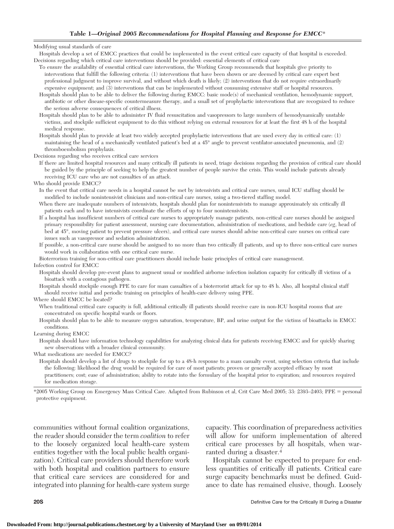Modifying usual standards of care

- Hospitals develop a set of EMCC practices that could be implemented in the event critical care capacity of that hospital is exceeded. Decisions regarding which critical care interventions should be provided: essential elements of critical care
- To ensure the availability of essential critical care interventions, the Working Group recommends that hospitals give priority to interventions that fulfill the following criteria: (1) interventions that have been shown or are deemed by critical care expert best professional judgment to improve survival, and without which death is likely; (2) interventions that do not require extraordinarily expensive equipment; and (3) interventions that can be implemented without consuming extensive staff or hospital resources.
- Hospitals should plan to be able to deliver the following during EMCC: basic mode(s) of mechanical ventilation, hemodynamic support, antibiotic or other disease-specific countermeasure therapy, and a small set of prophylactic interventions that are recognized to reduce the serious adverse consequences of critical illness.
- Hospitals should plan to be able to administer IV fluid resuscitation and vasopressors to large numbers of hemodynamically unstable victims, and stockpile sufficient equipment to do this without relying on external resources for at least the first 48 h of the hospital medical response.
- Hospitals should plan to provide at least two widely accepted prophylactic interventions that are used every day in critical care: (1) maintaining the head of a mechanically ventilated patient's bed at a 45° angle to prevent ventilator-associated pneumonia, and (2) thromboembolism prophylaxis.

Decisions regarding who receives critical care services

If there are limited hospital resources and many critically ill patients in need, triage decisions regarding the provision of critical care should be guided by the principle of seeking to help the greatest number of people survive the crisis. This would include patients already receiving ICU care who are not casualties of an attack.

Who should provide EMCC?

- In the event that critical care needs in a hospital cannot be met by intensivists and critical care nurses, usual ICU staffing should be modified to include nonintensivist clinicians and non-critical care nurses, using a two-tiered staffing model.
- When there are inadequate numbers of intensivists, hospitals should plan for nonintensivists to manage approximately six critically ill patients each and to have intensivists coordinate the efforts of up to four nonintensivists.
- If a hospital has insufficient numbers of critical care nurses to appropriately manage patients, non-critical care nurses should be assigned primary responsibility for patient assessment, nursing care documentation, administration of medications, and bedside care (*eg*, head of bed at 45°, moving patient to prevent pressure ulcers), and critical care nurses should advise non-critical care nurses on critical care issues such as vasopressor and sedation administration.
- If possible, a non-critical care nurse should be assigned to no more than two critically ill patients, and up to three non-critical care nurses would work in collaboration with one critical care nurse.
- Bioterrorism training for non-critical care practitioners should include basic principles of critical care management.

Infection control for EMCC

- Hospitals should develop pre-event plans to augment usual or modified airborne infection isolation capacity for critically ill victims of a bioattack with a contagious pathogen.
- Hospitals should stockpile enough PPE to care for mass casualties of a bioterrorist attack for up to 48 h. Also, all hospital clinical staff should receive initial and periodic training on principles of health-care delivery using PPE.

#### Where should EMCC be located?

- When traditional critical care capacity is full, additional critically ill patients should receive care in non-ICU hospital rooms that are concentrated on specific hospital wards or floors.
- Hospitals should plan to be able to measure oxygen saturation, temperature, BP, and urine output for the victims of bioattacks in EMCC conditions.

Learning during EMCC

Hospitals should have information technology capabilities for analyzing clinical data for patients receiving EMCC and for quickly sharing new observations with a broader clinical community.

What medications are needed for EMCC?

Hospitals should develop a list of drugs to stockpile for up to a 48-h response to a mass casualty event, using selection criteria that include the following: likelihood the drug would be required for care of most patients; proven or generally accepted efficacy by most practitioners; cost; ease of administration; ability to rotate into the formulary of the hospital prior to expiration; and resources required

for medication storage.

\*2005 Working Group on Emergency Mass Critical Care. Adapted from Rubinson et al, Crit Care Med 2005; 33: 2393–2403; PPE personal protective equipment.

communities without formal coalition organizations, the reader should consider the term *coalition* to refer to the loosely organized local health-care system entities together with the local public health organization). Critical care providers should therefore work with both hospital and coalition partners to ensure that critical care services are considered for and integrated into planning for health-care system surge capacity. This coordination of preparedness activities will allow for uniform implementation of altered critical care processes by all hospitals, when warranted during a disaster.4

Hospitals cannot be expected to prepare for endless quantities of critically ill patients. Critical care surge capacity benchmarks must be defined. Guidance to date has remained elusive, though. Loosely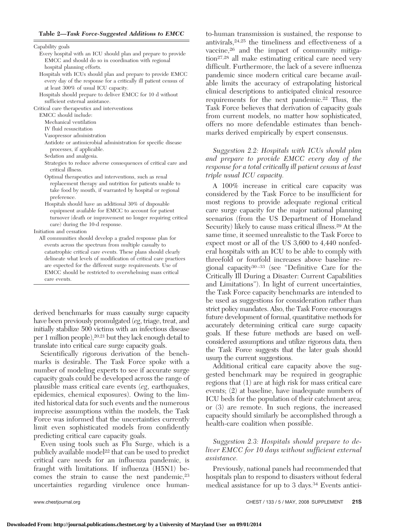Capability goals

- Every hospital with an ICU should plan and prepare to provide EMCC and should do so in coordination with regional hospital planning efforts.
- Hospitals with ICUs should plan and prepare to provide EMCC every day of the response for a critically ill patient census of at least 300% of usual ICU capacity.
- Hospitals should prepare to deliver EMCC for 10 d without sufficient external assistance.

Critical care therapeutics and interventions

EMCC should include:

Mechanical ventilation

IV fluid resuscitation

- Vasopressor administration
- Antidote or antimicrobial administration for specific disease processes, if applicable.
- Sedation and analgesia.
- Strategies to reduce adverse consequences of critical care and critical illness.
- Optimal therapeutics and interventions, such as renal replacement therapy and nutrition for patients unable to take food by mouth, if warranted by hospital or regional preference.
- Hospitals should have an additional 30% of disposable equipment available for EMCC to account for patient turnover (death or improvement no longer requiring critical care) during the 10-d response.

Initiation and cessation

All communities should develop a graded response plan for events across the spectrum from multiple casualty to catastrophic critical care events. These plans should clearly delineate what levels of modification of critical care practices are expected for the different surge requirements. Use of EMCC should be restricted to overwhelming mass critical care events.

derived benchmarks for mass casualty surge capacity have been previously promulgated (*eg*, triage, treat, and initially stabilize 500 victims with an infectious disease per 1 million people),20,21 but they lack enough detail to translate into critical care surge capacity goals.

Scientifically rigorous derivation of the benchmarks is desirable. The Task Force spoke with a number of modeling experts to see if accurate surge capacity goals could be developed across the range of plausible mass critical care events (*eg*, earthquakes, epidemics, chemical exposures). Owing to the limited historical data for such events and the numerous imprecise assumptions within the models, the Task Force was informed that the uncertainties currently limit even sophisticated models from confidently predicting critical care capacity goals.

Even using tools such as Flu Surge, which is a publicly available model<sup>22</sup> that can be used to predict critical care needs for an influenza pandemic, is fraught with limitations. If influenza (H5N1) becomes the strain to cause the next pandemic,<sup>23</sup> uncertainties regarding virulence once humanto-human transmission is sustained, the response to antivirals,24,25 the timeliness and effectiveness of a vaccine,<sup>26</sup> and the impact of community mitigation27,28 all make estimating critical care need very difficult. Furthermore, the lack of a severe influenza pandemic since modern critical care became available limits the accuracy of extrapolating historical clinical descriptions to anticipated clinical resource requirements for the next pandemic.<sup>22</sup> Thus, the Task Force believes that derivation of capacity goals from current models, no matter how sophisticated, offers no more defendable estimates than benchmarks derived empirically by expert consensus.

## *Suggestion 2.2: Hospitals with ICUs should plan and prepare to provide EMCC every day of the response for a total critically ill patient census at least triple usual ICU capacity.*

A 100% increase in critical care capacity was considered by the Task Force to be insufficient for most regions to provide adequate regional critical care surge capacity for the major national planning scenarios (from the US Department of Homeland Security) likely to cause mass critical illness.<sup>29</sup> At the same time, it seemed unrealistic to the Task Force to expect most or all of the US 3,600 to 4,440 nonfederal hospitals with an ICU to be able to comply with threefold or fourfold increases above baseline regional capacity<sup>30-33</sup> (see "Definitive Care for the Critically Ill During a Disaster: Current Capabilities and Limitations"). In light of current uncertainties, the Task Force capacity benchmarks are intended to be used as suggestions for consideration rather than strict policy mandates. Also, the Task Force encourages future development of formal, quantitative methods for accurately determining critical care surge capacity goals. If these future methods are based on wellconsidered assumptions and utilize rigorous data, then the Task Force suggests that the later goals should usurp the current suggestions.

Additional critical care capacity above the suggested benchmark may be required in geographic regions that (1) are at high risk for mass critical care events; (2) at baseline, have inadequate numbers of ICU beds for the population of their catchment area; or (3) are remote. In such regions, the increased capacity should similarly be accomplished through a health-care coalition when possible.

## *Suggestion 2.3: Hospitals should prepare to deliver EMCC for 10 days without sufficient external assistance.*

Previously, national panels had recommended that hospitals plan to respond to disasters without federal medical assistance for up to 3 days.34 Events antici-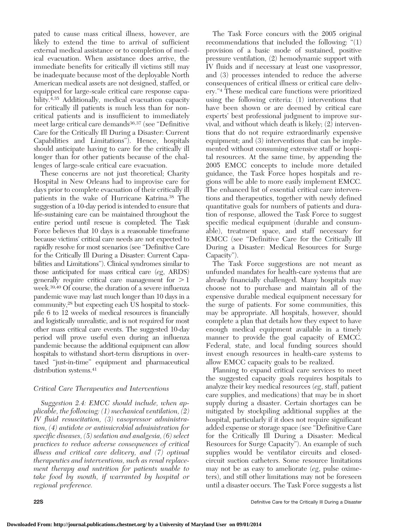pated to cause mass critical illness, however, are likely to extend the time to arrival of sufficient external medical assistance or to completion of medical evacuation. When assistance does arrive, the immediate benefits for critically ill victims still may be inadequate because most of the deployable North American medical assets are not designed, staffed, or equipped for large-scale critical care response capability.4,35 Additionally, medical evacuation capacity for critically ill patients is much less than for noncritical patients and is insufficient to immediately meet large critical care demands<sup>36,37</sup> (see "Definitive Care for the Critically Ill During a Disaster: Current Capabilities and Limitations"). Hence, hospitals should anticipate having to care for the critically ill longer than for other patients because of the challenges of large-scale critical care evacuation.

These concerns are not just theoretical; Charity Hospital in New Orleans had to improvise care for days prior to complete evacuation of their critically ill patients in the wake of Hurricane Katrina.38 The suggestion of a 10-day period is intended to ensure that life-sustaining care can be maintained throughout the entire period until rescue is completed. The Task Force believes that 10 days is a reasonable timeframe because victims' critical care needs are not expected to rapidly resolve for most scenarios (see "Definitive Care for the Critically Ill During a Disaster: Current Capabilities and Limitations"). Clinical syndromes similar to those anticipated for mass critical care (*eg*, ARDS) generally require critical care management for  $>1$ week.39,40 Of course, the duration of a severe influenza pandemic wave may last much longer than 10 days in a community,28 but expecting each US hospital to stockpile 6 to 12 weeks of medical resources is financially and logistically unrealistic, and is not required for most other mass critical care events. The suggested 10-day period will prove useful even during an influenza pandemic because the additional equipment can allow hospitals to withstand short-term disruptions in overtaxed "just-in-time" equipment and pharmaceutical distribution systems.<sup>41</sup>

## *Critical Care Therapeutics and Interventions*

*Suggestion 2.4: EMCC should include, when applicable, the following: (1) mechanical ventilation, (2) IV fluid resuscitation, (3) vasopressor administration, (4) antidote or antimicrobial administration for specific diseases, (5) sedation and analgesia, (6) select practices to reduce adverse consequences of critical illness and critical care delivery, and (7) optimal therapeutics and interventions, such as renal replacement therapy and nutrition for patients unable to take food by mouth, if warranted by hospital or regional preference.*

The Task Force concurs with the 2005 original recommendations that included the following: "(1) provision of a basic mode of sustained, positive pressure ventilation, (2) hemodynamic support with IV fluids and if necessary at least one vasopressor, and (3) processes intended to reduce the adverse consequences of critical illness or critical care delivery."4 These medical care functions were prioritized using the following criteria: (1) interventions that have been shown or are deemed by critical care experts' best professional judgment to improve survival, and without which death is likely; (2) interventions that do not require extraordinarily expensive equipment; and (3) interventions that can be implemented without consuming extensive staff or hospital resources. At the same time, by appending the 2005 EMCC concepts to include more detailed guidance, the Task Force hopes hospitals and regions will be able to more easily implement EMCC. The enhanced list of essential critical care interventions and therapeutics, together with newly defined quantitative goals for numbers of patients and duration of response, allowed the Task Force to suggest specific medical equipment (durable and consumable), treatment space, and staff necessary for EMCC (see "Definitive Care for the Critically Ill During a Disaster: Medical Resources for Surge Capacity").

The Task Force suggestions are not meant as unfunded mandates for health-care systems that are already financially challenged. Many hospitals may choose not to purchase and maintain all of the expensive durable medical equipment necessary for the surge of patients. For some communities, this may be appropriate. All hospitals, however, should complete a plan that details how they expect to have enough medical equipment available in a timely manner to provide the goal capacity of EMCC. Federal, state, and local funding sources should invest enough resources in health-care systems to allow EMCC capacity goals to be realized.

Planning to expand critical care services to meet the suggested capacity goals requires hospitals to analyze their key medical resources (*eg*, staff, patient care supplies, and medications) that may be in short supply during a disaster. Certain shortages can be mitigated by stockpiling additional supplies at the hospital, particularly if it does not require significant added expense or storage space (see "Definitive Care for the Critically Ill During a Disaster: Medical Resources for Surge Capacity"). An example of such supplies would be ventilator circuits and closedcircuit suction catheters. Some resource limitations may not be as easy to ameliorate (*eg*, pulse oximeters), and still other limitations may not be foreseen until a disaster occurs. The Task Force suggests a list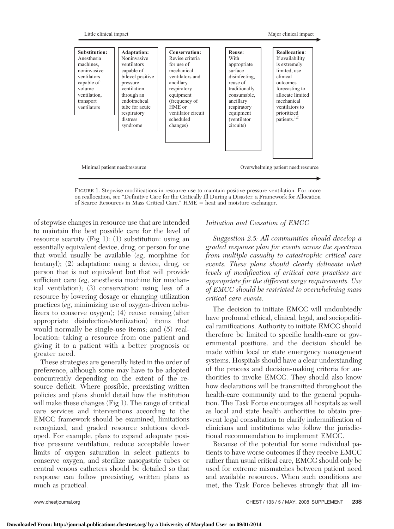

Figure 1. Stepwise modifications in resource use to maintain positive pressure ventilation. For more on reallocation, see "Definitive Care for the Critically Ill During a Disaster: a Framework for Allocation of Scarce Resources in Mass Critical Care."  $HME =$  heat and moisture exchanger.

of stepwise changes in resource use that are intended to maintain the best possible care for the level of resource scarcity (Fig 1): (1) substitution: using an essentially equivalent device, drug, or person for one that would usually be available (*eg*, morphine for fentanyl); (2) adaptation: using a device, drug, or person that is not equivalent but that will provide sufficient care (*eg*, anesthesia machine for mechanical ventilation); (3) conservation: using less of a resource by lowering dosage or changing utilization practices (*eg*, minimizing use of oxygen-driven nebulizers to conserve oxygen); (4) reuse: reusing (after appropriate disinfection/sterilization) items that would normally be single-use items; and (5) reallocation: taking a resource from one patient and giving it to a patient with a better prognosis or greater need.

These strategies are generally listed in the order of preference, although some may have to be adopted concurrently depending on the extent of the resource deficit. Where possible, preexisting written policies and plans should detail how the institution will make these changes (Fig 1). The range of critical care services and interventions according to the EMCC framework should be examined, limitations recognized, and graded resource solutions developed. For example, plans to expand adequate positive pressure ventilation, reduce acceptable lower limits of oxygen saturation in select patients to conserve oxygen, and sterilize nasogastric tubes or central venous catheters should be detailed so that response can follow preexisting, written plans as much as practical.

## *Initiation and Cessation of EMCC*

*Suggestion 2.5: All communities should develop a graded response plan for events across the spectrum from multiple casualty to catastrophic critical care events. These plans should clearly delineate what levels of modification of critical care practices are appropriate for the different surge requirements. Use of EMCC should be restricted to overwhelming mass critical care events.*

The decision to initiate EMCC will undoubtedly have profound ethical, clinical, legal, and sociopolitical ramifications. Authority to initiate EMCC should therefore be limited to specific health-care or governmental positions, and the decision should be made within local or state emergency management systems. Hospitals should have a clear understanding of the process and decision-making criteria for authorities to invoke EMCC. They should also know how declarations will be transmitted throughout the health-care community and to the general population. The Task Force encourages all hospitals as well as local and state health authorities to obtain preevent legal consultation to clarify indemnification of clinicians and institutions who follow the jurisdictional recommendation to implement EMCC.

Because of the potential for some individual patients to have worse outcomes if they receive EMCC rather than usual critical care, EMCC should only be used for extreme mismatches between patient need and available resources. When such conditions are met, the Task Force believes strongly that all im-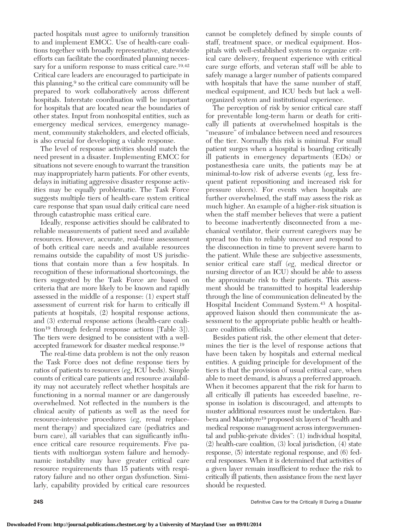pacted hospitals must agree to uniformly transition to and implement EMCC. Use of health-care coalitions together with broadly representative, statewide efforts can facilitate the coordinated planning necessary for a uniform response to mass critical care.<sup>19,42</sup> Critical care leaders are encouraged to participate in this planning,<sup>9</sup> so the critical care community will be prepared to work collaboratively across different hospitals. Interstate coordination will be important for hospitals that are located near the boundaries of other states. Input from nonhospital entities, such as emergency medical services, emergency management, community stakeholders, and elected officials, is also crucial for developing a viable response.

The level of response activities should match the need present in a disaster. Implementing EMCC for situations not severe enough to warrant the transition may inappropriately harm patients. For other events, delays in initiating aggressive disaster response activities may be equally problematic. The Task Force suggests multiple tiers of health-care system critical care response that span usual daily critical care need through catastrophic mass critical care.

Ideally, response activities should be calibrated to reliable measurements of patient need and available resources. However, accurate, real-time assessment of both critical care needs and available resources remains outside the capability of most US jurisdictions that contain more than a few hospitals. In recognition of these informational shortcomings, the tiers suggested by the Task Force are based on criteria that are more likely to be known and rapidly assessed in the middle of a response: (1) expert staff assessment of current risk for harm to critically ill patients at hospitals, (2) hospital response actions, and (3) external response actions (health-care coalition<sup>19</sup> through federal response actions [Table 3]). The tiers were designed to be consistent with a wellaccepted framework for disaster medical response.19

The real-time data problem is not the only reason the Task Force does not define response tiers by ratios of patients to resources (*eg*, ICU beds). Simple counts of critical care patients and resource availability may not accurately reflect whether hospitals are functioning in a normal manner or are dangerously overwhelmed. Not reflected in the numbers is the clinical acuity of patients as well as the need for resource-intensive procedures (*eg*, renal replacement therapy) and specialized care (pediatrics and burn care), all variables that can significantly influence critical care resource requirements. Five patients with multiorgan system failure and hemodynamic instability may have greater critical care resource requirements than 15 patients with respiratory failure and no other organ dysfunction. Similarly, capability provided by critical care resources

cannot be completely defined by simple counts of staff, treatment space, or medical equipment. Hospitals with well-established systems to organize critical care delivery, frequent experience with critical care surge efforts, and veteran staff will be able to safely manage a larger number of patients compared with hospitals that have the same number of staff, medical equipment, and ICU beds but lack a wellorganized system and institutional experience.

The perception of risk by senior critical care staff for preventable long-term harm or death for critically ill patients at overwhelmed hospitals is the "measure" of imbalance between need and resources of the tier. Normally this risk is minimal. For small patient surges when a hospital is boarding critically ill patients in emergency departments (EDs) or postanesthesia care units, the patients may be at minimal-to-low risk of adverse events (*eg*, less frequent patient repositioning and increased risk for pressure ulcers). For events when hospitals are further overwhelmed, the staff may assess the risk as much higher. An example of a higher-risk situation is when the staff member believes that were a patient to become inadvertently disconnected from a mechanical ventilator, their current caregivers may be spread too thin to reliably uncover and respond to the disconnection in time to prevent severe harm to the patient. While these are subjective assessments, senior critical care staff (*eg*, medical director or nursing director of an ICU) should be able to assess the approximate risk to their patients. This assessment should be transmitted to hospital leadership through the line of communication delineated by the Hospital Incident Command System.43 A hospitalapproved liaison should then communicate the assessment to the appropriate public health or healthcare coalition officials.

Besides patient risk, the other element that determines the tier is the level of response actions that have been taken by hospitals and external medical entities. A guiding principle for development of the tiers is that the provision of usual critical care, when able to meet demand, is always a preferred approach. When it becomes apparent that the risk for harm to all critically ill patients has exceeded baseline, response in isolation is discouraged, and attempts to muster additional resources must be undertaken. Barbera and Macintyre<sup>19</sup> proposed six layers of "health and medical response management across intergovernmental and public-private divides": (1) individual hospital, (2) health-care coalition, (3) local jurisdiction, (4) state response, (5) interstate regional response, and (6) federal responses. When it is determined that activities of a given layer remain insufficient to reduce the risk to critically ill patients, then assistance from the next layer should be requested.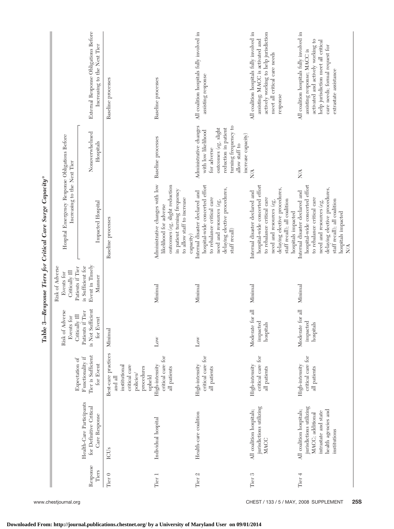Table 3-Response Tiers for Critical Care Surge Capacity\* **Table 3—***Response Tiers for Critical Care Surge Capacity*\*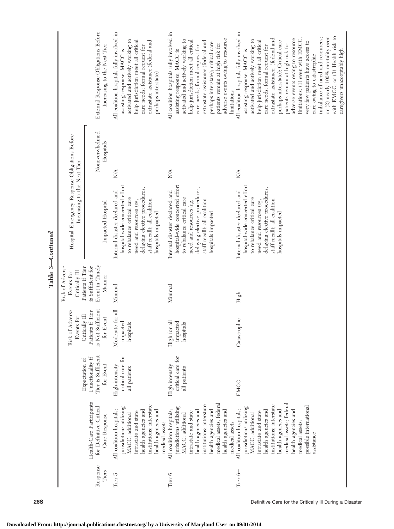| ٦ |
|---|
| c |

|                                                                               | External Response Obligations Before<br>Increasing to the Next Tier  | All coalition hospitals fully involved in<br>activated and actively working to<br>help jurisdiction meet all critical<br>extrastate assistance (federal and<br>care needs; formal request for<br>assisting response; MACC is<br>perhaps interstate) | All coalition hospitals fully involved in<br>adverse events owing to resource<br>activated and actively working to<br>help jurisdiction meet all critical<br>extrastate assistance (federal and<br>perhaps interstate); critical care<br>patients remain at high risk for<br>care needs; formal request for<br>assisting response; MACC is<br>limitations | All coalition hospitals fully involved in<br>with EMCC; or (3) Health risk to<br>or (2) nearly $100\%$ mortality even<br>imbalance of need and resources;<br>limitations: (1) even with EMCC,<br>adverse events owing to resource<br>extrastate assistance; (federal and<br>activated and actively working to<br>help jurisdiction meet all critical<br>perhaps interstate); Critical care<br>very few patients have access to<br>patients remain at high risk for<br>care needs; formal request for<br>assisting response; MACC is<br>caregivers unacceptably high<br>care owing to catastrophic |
|-------------------------------------------------------------------------------|----------------------------------------------------------------------|-----------------------------------------------------------------------------------------------------------------------------------------------------------------------------------------------------------------------------------------------------|-----------------------------------------------------------------------------------------------------------------------------------------------------------------------------------------------------------------------------------------------------------------------------------------------------------------------------------------------------------|---------------------------------------------------------------------------------------------------------------------------------------------------------------------------------------------------------------------------------------------------------------------------------------------------------------------------------------------------------------------------------------------------------------------------------------------------------------------------------------------------------------------------------------------------------------------------------------------------|
|                                                                               | Nonoverwhelmed<br>Hospitals                                          | $\sum_{i=1}^{n}$                                                                                                                                                                                                                                    | $\sum_{i=1}^{n}$                                                                                                                                                                                                                                                                                                                                          | $\frac{\triangleleft}{\triangle}$                                                                                                                                                                                                                                                                                                                                                                                                                                                                                                                                                                 |
| Hospital Emergency Response Obligations Before<br>Increasing to the Next Tier | Impacted Hospital                                                    | hospital-wide concerted effort<br>delaying elective procedures,<br>Internal disaster declared and<br>to rebalance critical care<br>staff recall); all coalition<br>need and resources (eg,<br>hospitals impacted                                    | hospital-wide concerted effort<br>delaying elective procedures,<br>Internal disaster declared and<br>to rebalance critical care<br>staff recall); all coalition<br>need and resources (eg,<br>hospitals impacted                                                                                                                                          | hospital-wide concerted effort<br>delaying elective procedures,<br>Internal disaster declared and<br>to rebalance critical care<br>staff recall); all coalition<br>need and resources (eg,<br>hospitals impacted                                                                                                                                                                                                                                                                                                                                                                                  |
| Risk of Adverse<br>Patients if Tier<br>Critically Ill<br>Events for           | Event in Timely<br>is Sufficient for<br>Manner                       | Minimal                                                                                                                                                                                                                                             | Minimal                                                                                                                                                                                                                                                                                                                                                   | High                                                                                                                                                                                                                                                                                                                                                                                                                                                                                                                                                                                              |
| Adverse<br>Critically Ill<br>Events for<br>Risk of                            | is Not Sufficient<br>Patients if Tier<br>for Event                   | Moderate for all<br>impacted<br>hospitals                                                                                                                                                                                                           | High for all<br>impacted<br>hospitals                                                                                                                                                                                                                                                                                                                     | Catastrophic                                                                                                                                                                                                                                                                                                                                                                                                                                                                                                                                                                                      |
| Expectation of                                                                | Tier is Sufficient<br>Functionality if<br>for Event                  | critical care for<br>High-intensity<br>all patients                                                                                                                                                                                                 | critical care for<br>High intensity<br>all patients                                                                                                                                                                                                                                                                                                       | EMCC                                                                                                                                                                                                                                                                                                                                                                                                                                                                                                                                                                                              |
|                                                                               | Health-Care Participants<br>for Definitive Critical<br>Care Response | institutions; interstate<br>jurisdictions utilizing<br>health agencies and<br>health agencies and<br>All coalition hospitals;<br>intrastate and state<br>MACC; additional<br>medical assets                                                         | medical assets; federal<br>institutions; interstate<br>jurisdictions utilizing<br>health agencies and<br>All coalition hospitals;<br>health agencies and<br>health agencies and<br>intrastate and state<br>MACC; additional<br>medical assets                                                                                                             | medical assets; federal<br>institutions; interstate<br>possible international<br>jurisdictions utilizing<br>health agencies and<br>health agencies and<br>All coalition hospitals;<br>health agencies and<br>intrastate and state<br>MACC; additional<br>medical assets;<br>assistance                                                                                                                                                                                                                                                                                                            |
|                                                                               | Response<br>Tiers                                                    | Tier 5                                                                                                                                                                                                                                              | Tier <sub>6</sub>                                                                                                                                                                                                                                                                                                                                         | $Tier 6+$                                                                                                                                                                                                                                                                                                                                                                                                                                                                                                                                                                                         |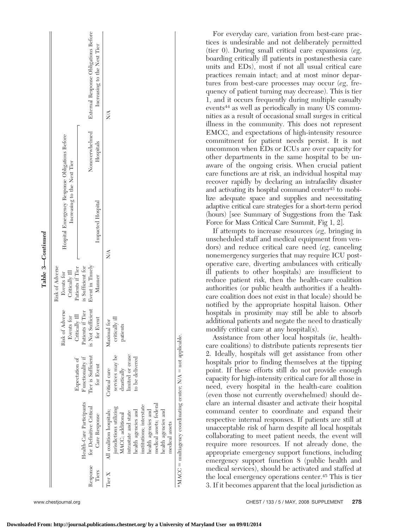|                   |                                                                                                                                                                                                                                               |                                                                                        |                                                    |                                                                     | Table 3—Continued                                                             |                             |                                                                     |
|-------------------|-----------------------------------------------------------------------------------------------------------------------------------------------------------------------------------------------------------------------------------------------|----------------------------------------------------------------------------------------|----------------------------------------------------|---------------------------------------------------------------------|-------------------------------------------------------------------------------|-----------------------------|---------------------------------------------------------------------|
|                   |                                                                                                                                                                                                                                               | Expectation of                                                                         | of Adverse<br>Critically Ill<br>Events for<br>Risk | Risk of Adverse<br>Patients if Tier<br>Critically Ill<br>Events for | Hospital Emergency Response Obligations Before<br>Increasing to the Next Tier |                             |                                                                     |
| Response<br>Tiers | Health-Care Participants<br>for Definitive Critical<br>Care Response                                                                                                                                                                          | Tier is Sufficient<br>Functionality if<br>for Event                                    | is Not Sufficient<br>Patients if Tier<br>for Event | Event in Timely<br>is Sufficient for<br>Manner                      | Impacted Hospital                                                             | Nonoverwhelmed<br>Hospitals | External Response Obligations Before<br>Increasing to the Next Tier |
| Tier X            | medical assets; federal<br>institutions; interstate<br>jurisdictions utilizing<br>health agencies and<br>All coalition hospitals;<br>health agencies and<br>health agencies and<br>intrastate and state<br>MACC; additional<br>medical assets | limited or cease<br>services may be<br>to be delivered<br>drastically<br>Critical care | critically ill<br>Maximal for<br>patients          |                                                                     | ≶∕                                                                            |                             | $\lessapprox$                                                       |
|                   | $*MACC = multiagency covclinating curve center; N/A = not applicable$                                                                                                                                                                         |                                                                                        |                                                    |                                                                     |                                                                               |                             |                                                                     |

For everyday care, variation from best-care practices is undesirable and not deliberately permitted (tier 0). During small critical care expansions (*eg*, boarding critically ill patients in postanesthesia care units and EDs), most if not all usual critical care practices remain intact; and at most minor departures from best-care processes may occur (*eg*, frequency of patient turning may decrease). This is tier 1, and it occurs frequently during multiple casualty events<sup>44</sup> as well as periodically in many US communities as a result of occasional small surges in critical illness in the community. This does not represent EMCC, and expectations of high-intensity resource commitment for patient needs persist. It is not uncommon when EDs or ICUs are over capacity for other departments in the same hospital to be unaware of the ongoing crisis. When crucial patient care functions are at risk, an individual hospital may recover rapidly by declaring an intrafacility disaster and activating its hospital command center<sup>43</sup> to mobilize adequate space and supplies and necessitating adaptive critical care strategies for a short-term period (hours) [see Summary of Suggestions from the Task Force for Mass Critical Care Summit, Fig 1, 2].

If attempts to increase resources (*eg*, bringing in unscheduled staff and medical equipment from vendors) and reduce critical care need (*eg*, canceling nonemergency surgeries that may require ICU postoperative care, diverting ambulances with critically ill patients to other hospitals) are insufficient to reduce patient risk, then the health-care coalition authorities (or public health authorities if a healthcare coalition does not exist in that locale) should be notified by the appropriate hospital liaison. Other hospitals in proximity may still be able to absorb additional patients and negate the need to drastically modify critical care at any hospital(s).

Assistance from other local hospitals (*ie*, healthcare coalitions) to distribute patients represents tier 2. Ideally, hospitals will get assistance from other hospitals prior to finding themselves at the tipping point. If these efforts still do not provide enough capacity for high-intensity critical care for all those in need, every hospital in the health-care coalition (even those not currently overwhelmed) should declare an internal disaster and activate their hospital command center to coordinate and expand their respective internal responses. If patients are still at unacceptable risk of harm despite all local hospitals collaborating to meet patient needs, the event will require more resources. If not already done, the appropriate emergency support functions, including emergency support function 8 (public health and medical services), should be activated and staffed at the local emergency operations center.45 This is tier 3. If it becomes apparent that the local jurisdiction as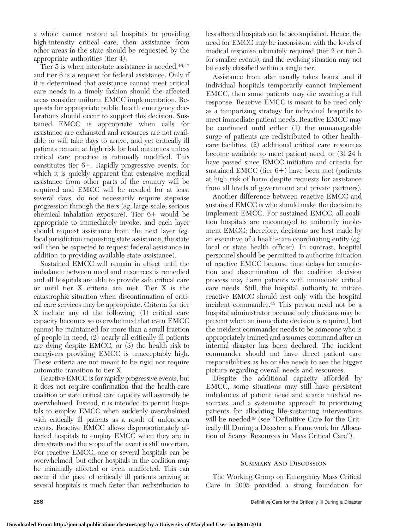a whole cannot restore all hospitals to providing high-intensity critical care, then assistance from other areas in the state should be requested by the appropriate authorities (tier 4).

Tier 5 is when interstate assistance is needed,  $46,47$ and tier 6 is a request for federal assistance. Only if it is determined that assistance cannot meet critical care needs in a timely fashion should the affected areas consider uniform EMCC implementation. Requests for appropriate public health emergency declarations should occur to support this decision. Sustained EMCC is appropriate when calls for assistance are exhausted and resources are not available or will take days to arrive, and yet critically ill patients remain at high risk for bad outcomes unless critical care practice is rationally modified. This constitutes tier  $6+$ . Rapidly progressive events, for which it is quickly apparent that extensive medical assistance from other parts of the country will be required and EMCC will be needed for at least several days, do not necessarily require stepwise progression through the tiers (*eg*, large-scale, serious chemical inhalation exposure). Tier  $6+$  would be appropriate to immediately invoke, and each layer should request assistance from the next layer (*eg*, local jurisdiction requesting state assistance; the state will then be expected to request federal assistance in addition to providing available state assistance).

Sustained EMCC will remain in effect until the imbalance between need and resources is remedied and all hospitals are able to provide safe critical care or until tier X criteria are met. Tier X is the catastrophic situation when discontinuation of critical care services may be appropriate. Criteria for tier X include any of the following: (1) critical care capacity becomes so overwhelmed that even EMCC cannot be maintained for more than a small fraction of people in need, (2) nearly all critically ill patients are dying despite EMCC, or (3) the health risk to caregivers providing EMCC is unacceptably high. These criteria are not meant to be rigid nor require automatic transition to tier X.

Reactive EMCC is for rapidly progressive events, but it does not require confirmation that the health-care coalition or state critical care capacity will assuredly be overwhelmed. Instead, it is intended to permit hospitals to employ EMCC when suddenly overwhelmed with critically ill patients as a result of unforeseen events. Reactive EMCC allows disproportionately affected hospitals to employ EMCC when they are in dire straits and the scope of the event is still uncertain. For reactive EMCC, one or several hospitals can be overwhelmed, but other hospitals in the coalition may be minimally affected or even unaffected. This can occur if the pace of critically ill patients arriving at several hospitals is much faster than redistribution to less affected hospitals can be accomplished. Hence, the need for EMCC may be inconsistent with the levels of medical response ultimately required (tier 2 or tier 3 for smaller events), and the evolving situation may not be easily classified within a single tier.

Assistance from afar usually takes hours, and if individual hospitals temporarily cannot implement EMCC, then some patients may die awaiting a full response. Reactive EMCC is meant to be used only as a temporizing strategy for individual hospitals to meet immediate patient needs. Reactive EMCC may be continued until either (1) the unmanageable surge of patients are redistributed to other healthcare facilities, (2) additional critical care resources become available to meet patient need, or (3) 24 h have passed since EMCC initiation and criteria for sustained EMCC (tier  $6+$ ) have been met (patients at high risk of harm despite requests for assistance from all levels of government and private partners).

Another difference between reactive EMCC and sustained EMCC is who should make the decision to implement EMCC. For sustained EMCC, all coalition hospitals are encouraged to uniformly implement EMCC; therefore, decisions are best made by an executive of a health-care coordinating entity (*eg*, local or state health officer). In contrast, hospital personnel should be permitted to authorize initiation of reactive EMCC because time delays for completion and dissemination of the coalition decision process may harm patients with immediate critical care needs. Still, the hospital authority to initiate reactive EMCC should rest only with the hospital incident commander.43 This person need not be a hospital administrator because only clinicians may be present when an immediate decision is required, but the incident commander needs to be someone who is appropriately trained and assumes command after an internal disaster has been declared. The incident commander should not have direct patient care responsibilities as he or she needs to see the bigger picture regarding overall needs and resources.

Despite the additional capacity afforded by EMCC, some situations may still have persistent imbalances of patient need and scarce medical resources, and a systematic approach to prioritizing patients for allocating life-sustaining interventions will be needed<sup>48</sup> (see "Definitive Care for the Critically Ill During a Disaster: a Framework for Allocation of Scarce Resources in Mass Critical Care").

## Summary And Discussion

The Working Group on Emergency Mass Critical Care in 2005 provided a strong foundation for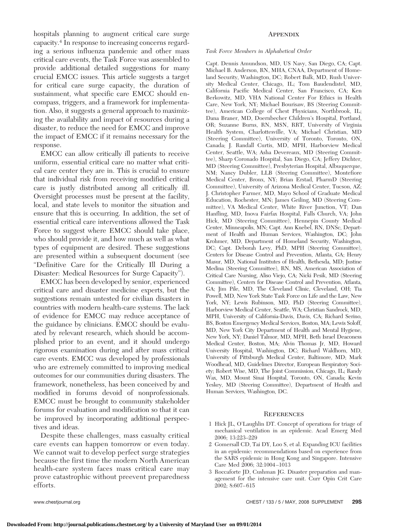hospitals planning to augment critical care surge capacity.4 In response to increasing concerns regarding a serious influenza pandemic and other mass critical care events, the Task Force was assembled to provide additional detailed suggestions for many crucial EMCC issues. This article suggests a target for critical care surge capacity, the duration of sustainment, what specific care EMCC should encompass, triggers, and a framework for implementation. Also, it suggests a general approach to maximizing the availability and impact of resources during a disaster, to reduce the need for EMCC and improve the impact of EMCC if it remains necessary for the response.

EMCC can allow critically ill patients to receive uniform, essential critical care no matter what critical care center they are in. This is crucial to ensure that individual risk from receiving modified critical care is justly distributed among all critically ill. Oversight processes must be present at the facility, local, and state levels to monitor the situation and ensure that this is occurring. In addition, the set of essential critical care interventions allowed the Task Force to suggest where EMCC should take place, who should provide it, and how much as well as what types of equipment are desired. These suggestions are presented within a subsequent document (see "Definitive Care for the Critically Ill During a Disaster: Medical Resources for Surge Capacity").

EMCC has been developed by senior, experienced critical care and disaster medicine experts, but the suggestions remain untested for civilian disasters in countries with modern health-care systems. The lack of evidence for EMCC may reduce acceptance of the guidance by clinicians. EMCC should be evaluated by relevant research, which should be accomplished prior to an event, and it should undergo rigorous examination during and after mass critical care events. EMCC was developed by professionals who are extremely committed to improving medical outcomes for our communities during disasters. The framework, nonetheless, has been conceived by and modified in forums devoid of nonprofessionals. EMCC must be brought to community stakeholder forums for evaluation and modification so that it can be improved by incorporating additional perspectives and ideas.

Despite these challenges, mass casualty critical care events can happen tomorrow or even today. We cannot wait to develop perfect surge strategies because the first time the modern North American health-care system faces mass critical care may prove catastrophic without preevent preparedness efforts.

#### **APPENDIX**

#### *Task Force Members in Alphabetical Order*

Capt. Dennis Amundson, MD, US Navy, San Diego, CA; Capt. Michael B. Anderson, RN, MHA, CNAA, Department of Homeland Security, Washington, DC; Robert Balk, MD, Rush University Medical Center, Chicago, IL; Tom Baudendistel, MD, California Pacific Medical Center, San Francisco, CA; Ken Berkowitz, MD, VHA National Center For Ethics in Health Care, New York, NY; Michael Bourisaw, BS (Steering Committee), American College of Chest Physicians, Northbrook, IL; Dana Braner, MD, Doernbecher Children's Hospital, Portland, OR; Suzanne Burns, RN, MSN, RRT, University of Virginia Health System, Charlottesville, VA; Michael Christian, MD (Steering Committee), University of Toronto, Toronto, ON, Canada; J. Randall Curtis, MD, MPH, Harborview Medical Center, Seattle, WA; Asha Devereaux, MD (Steering Committee), Sharp Coronado Hospital, San Diego, CA; Jeffery Dichter, MD (Steering Committee), Presbyterian Hospital, Albuquerque, NM; Nancy Dubler, LLB (Steering Committee), Montefiore Medical Center, Bronx, NY; Brian Erstad, PharmD (Steering Committee), University of Arizona Medical Center, Tucson, AZ; J. Christopher Farmer, MD, Mayo School of Graduate Medical Education, Rochester, MN; James Geiling, MD (Steering Committee), VA Medical Center, White River Junction, VT; Dan Hanfling, MD, Inova Fairfax Hospital, Falls Church, VA; John Hick, MD (Steering Committee), Hennepin County Medical Center, Minneapolis, MN; Capt. Ann Knebel, RN, DNSc, Department of Health and Human Services, Washington, DC; John Krohmer, MD, Department of Homeland Security, Washington, DC; Capt. Deborah Levy, PhD, MPH (Steering Committee), Centers for Disease Control and Prevention, Atlanta, GA; Henry Masur, MD, National Institutes of Health, Bethesda, MD; Justine Medina (Steering Committee), RN, MS, American Association of Critical Care Nursing, Aliso Viejo, CA; Nicki Pesik, MD (Steering Committee), Centers for Disease Control and Prevention, Atlanta, GA; Jim Pile, MD, The Cleveland Clinic, Cleveland, OH; Tia Powell, MD*,* New York State Task Force on Life and the Law, New York, NY; Lewis Rubinson, MD, PhD (Steering Committee), Harborview Medical Center, Seattle, WA; Christian Sandrock, MD, MPH, University of California-Davis, Davis, CA; Richard Serino, BS, Boston Emergency Medical Services, Boston, MA; Lewis Soloff, MD, New York City Department of Health and Mental Hygiene, New York, NY; Daniel Talmor, MD, MPH, Beth Israel Deaconess Medical Center, Boston, MA; Alvin Thomas Jr, MD, Howard University Hospital, Washington, DC; Richard Waldhorn, MD, University of Pittsburgh Medical Center, Baltimore, MD; Mark Woodhead, MD, Guidelines Director, European Respiratory Society; Robert Wise, MD, The Joint Commission, Chicago, IL; Randy Wax, MD, Mount Sinai Hospital, Toronto, ON, Canada; Kevin Yeskey, MD (Steering Committee), Department of Health and Human Services, Washington, DC.

#### **REFERENCES**

- 1 Hick JL, O'Laughlin DT. Concept of operations for triage of mechanical ventilation in an epidemic. Acad Emerg Med 2006; 13:223–229
- 2 Gomersall CD, Tai DY, Loo S, et al. Expanding ICU facilities in an epidemic: recommendations based on experience from the SARS epidemic in Hong Kong and Singapore. Intensive Care Med 2006; 32:1004 –1013
- 3 Roccaforte JD, Cushman JG. Disaster preparation and management for the intensive care unit. Curr Opin Crit Care 2002; 8:607– 615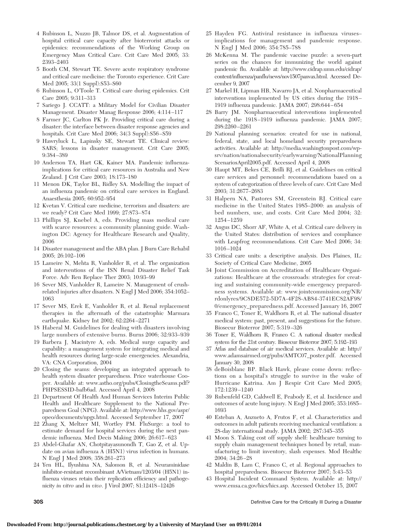- 4 Rubinson L, Nuzzo JB, Talmor DS, et al. Augmentation of hospital critical care capacity after bioterrorist attacks or epidemics: recommendations of the Working Group on Emergency Mass Critical Care. Crit Care Med 2005; 33: 2393–2403
- 5 Booth CM, Stewart TE. Severe acute respiratory syndrome and critical care medicine: the Toronto experience. Crit Care Med 2005; 33(1 Suppl):S53–S60
- 6 Rubinson L, O'Toole T. Critical care during epidemics. Crit Care 2005; 9:311–313
- 7 Sariego J. CCATT: a Military Model for Civilian Disaster Management. Disaster Manag Response 2006; 4:114 –117
- 8 Farmer JC, Carlton PK Jr. Providing critical care during a disaster: the interface between disaster response agencies and hospitals. Crit Care Med 2006; 34(3 Suppl):S56 –S59
- 9 Hawryluck L, Lapinsky SE, Stewart TE. Clinical review: SARS; lessons in disaster management. Crit Care 2005; 9:384 –389
- 10 Anderson TA, Hart GK, Kainer MA. Pandemic influenzaimplications for critical care resources in Australia and New Zealand. J Crit Care 2003; 18:173–180
- 11 Menon DK, Taylor BL, Ridley SA. Modelling the impact of an influenza pandemic on critical care services in England. Anaesthesia 2005; 60:952–954
- 12 Kvetan V. Critical care medicine, terrorism and disasters: are we ready? Crit Care Med 1999; 27:873– 874
- 13 Phillips SJ, Knebel A, eds. Providing mass medical care with scarce resources: a community planning guide. Washington DC: Agency for Healthcare Research and Quality, 2006
- 14 Disaster management and the ABA plan. J Burn Care Rehabil 2005; 26:102–106
- 15 Lameire N, Mehta R, Vanholder R, et al. The organization and interventions of the ISN Renal Disaster Relief Task Force. Adv Ren Replace Ther 2003; 10:93–99
- 16 Sever MS, Vanholder R, Lameire N. Management of crushrelated injuries after disasters. N Engl J Med 2006; 354:1052– 1063
- 17 Sever MS, Erek E, Vanholder R, et al. Renal replacement therapies in the aftermath of the catastrophic Marmara earthquake. Kidney Int 2002; 62:2264 –2271
- 18 Haberal M. Guidelines for dealing with disasters involving large numbers of extensive burns. Burns 2006; 32:933–939
- 19 Barbera J, Macintyre A, eds. Medical surge capacity and capability: a management system for integrating medical and health resources during large-scale emergencies. Alexandria, VA: CNA Corporation, 2004
- 20 Closing the seams: developing an integrated approach to health system disaster preparedness. Price waterhouse Cooper. Available at: www.astho.org/pubs/ClosingtheSeams.pdf? PHPSESSID-bafb6ad. Accessed April 4, 2008
- 21 Department Of Health And Human Services Interim Public Health and Healthcare Supplement to the National Preparedness Goal (NPG**)**. Available at: http://www.hhs.gov/aspr/ opeo/documents/npgs.html. Accessed September 17, 2007
- 22 Zhang X, Meltzer MI, Wortley PM. FluSurge: a tool to estimate demand for hospital services during the next pandemic influenza. Med Decis Making 2006; 26:617– 623
- 23 Abdel-Ghafar AN, Chotpitayasunondh T, Gao Z, et al. Update on avian influenza A (H5N1) virus infection in humans. N Engl J Med 2008; 358:261–273
- 24 Yen HL, Ilyushina NA, Salomon R, et al. Neuraminidase inhibitor-resistant recombinant A/Vietnam/1203/04 (H5N1) influenza viruses retain their replication efficiency and pathogenicity *in vitro* and *in vivo*. J Virol 2007; 81:12418 –12426
- 25 Hayden FG. Antiviral resistance in influenza viruses– implications for management and pandemic response. N Engl J Med 2006; 354:785–788
- 26 McKenna M. The pandemic vaccine puzzle: a seven-part series on the chances for immunizing the world against pandemic flu. Available at: http://www.cidrap.umn.edu/cidrap/ content/influenza/panflu/news/nov1507panvax.html. Accessed December 9, 2007
- 27 Markel H, Lipman HB, Navarro JA, et al. Nonpharmaceutical interventions implemented by US cities during the 1918 – 1919 influenza pandemic. JAMA 2007; 298:644 – 654
- 28 Barry JM. Nonpharmaceutical interventions implemented during the 1918 –1919 influenza pandemic. JAMA 2007; 298:2260 –2261
- 29 National planning scenarios: created for use in national, federal, state, and local homeland security preparedness activities. Available at: http://media.washingtonpost.com/wpsrv/nation/nationalsecurity/earlywarning/NationalPlanning ScenariosApril2005.pdf. Accessed April 4, 2008
- 30 Haupt MT, Bekes CE, Brilli RJ, et al. Guidelines on critical care services and personnel: recommendations based on a system of categorization of three levels of care. Crit Care Med 2003; 31:2677–2683
- 31 Halpern NA, Pastores SM, Greenstein RJ. Critical care medicine in the United States 1985–2000: an analysis of bed numbers, use, and costs. Crit Care Med 2004; 32: 1254 –1259
- 32 Angus DC, Shorr AF, White A, et al. Critical care delivery in the United States: distribution of services and compliance with Leapfrog recommendations. Crit Care Med 2006; 34: 1016 –1024
- 33 Critical care units: a descriptive analysis. Des Plaines, IL: Society of Critical Care Medicine, 2005
- 34 Joint Commission on Accreditation of Healthcare Organizations: Healthcare at the crossroads: strategies for creating and sustaining community-wide emergency preparedness systems. Available at: www.jointcommission.org/NR/ rdonlyres/9C8DE572-5D7A-4F28-AB84-3741EC82AF98/ 0/emergency\_preparedness.pdf. Accessed January 16, 2007
- 35 Franco C, Toner E, Waldhorn R, et al. The national disaster medical system: past, present, and suggestions for the future. Biosecur Bioterror 2007; 5:319 –326
- 36 Toner E, Waldhorn R, Franco C. A national disaster medical system for the 21st century. Biosecur Bioterror 2007; 5:192–193
- 37 Atlas and database of air medical services. Available at: http:// www.adamsairmed.org/pubs/AMTC07\_poster.pdf. Accessed January 30, 2008
- 38 deBoisblanc BP. Black Hawk, please come down: reflections on a hospital's struggle to survive in the wake of Hurricane Katrina. Am J Respir Crit Care Med 2005; 172:1239 –1240
- 39 Rubenfeld GD, Caldwell E, Peabody E, et al. Incidence and outcomes of acute lung injury. N Engl J Med 2005; 353:1685– 1693
- 40 Esteban A, Anzueto A, Frutos F, et al. Characteristics and outcomes in adult patients receiving mechanical ventilation: a 28-day international study. JAMA 2002; 287:345–355
- 41 Moon S. Taking cost off supply shelf: healthcare turning to supply chain management techniques honed by retail, manufacturing to limit inventory, slash expenses. Mod Healthc 2004; 34:26 –28
- 42 Maldin B, Lam C, Franco C, et al. Regional approaches to hospital preparedness. Biosecur Bioterror 2007; 5:43–53
- 43 Hospital Incident Command System. Available at: http:// www.emsa.ca.gov/hics/hics.asp. Accessed October 15, 2007